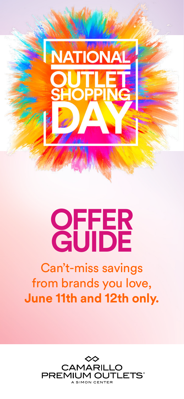

# **OFFER GUIDE**

# Can't-miss savings from brands you love, **June 11th and 12th only.**

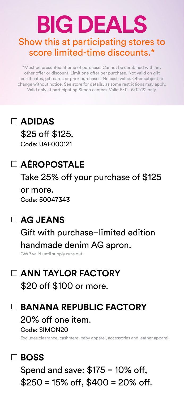# **BIG DEALS** Show this at participating stores to score limited-time discounts.\*

\*Must be presented at time of purchase. Cannot be combined with any other offer or discount. Limit one offer per purchase. Not valid on gift certificates, gift cards or prior purchases. No cash value. Offer subject to change without notice. See store for details, as some restrictions may apply. Valid only at participating Simon centers. Valid 6/11 - 6/12/22 only.

# **ADIDAS** \$25 off \$125.

Code: UAF000121

# **AÉROPOSTALE**

Take 25% off your purchase of \$125

or more. Code: 50047343

# **AG JEANS**

Gift with purchase–limited edition handmade denim AG apron.

GWP valid until supply runs out.

# **ANN TAYLOR FACTORY** \$20 off \$100 or more.

### **BANANA REPUBLIC FACTORY**

20% off one item. Code: SIMON20

Excludes clearance, cashmere, baby apparel, accessories and leather apparel.

# **BOSS**

Spend and save: \$175 = 10% off,  $$250 = 15\% \text{ off. } $400 = 20\% \text{ off.}$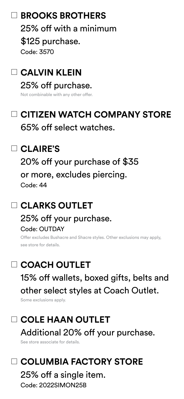# **BROOKS BROTHERS**

25% off with a minimum \$125 purchase. Code: 3570

**CALVIN KLEIN** 25% off purchase.

Not combinable with any other offer.

# **CITIZEN WATCH COMPANY STORE**

65% off select watches.

# **CLAIRE'S**

20% off your purchase of \$35 or more, excludes piercing. Code: 44

# **CLARKS OUTLET**

#### 25% off your purchase. Code: OUTDAY

Offer excludes Bushacre and Shacre styles. Other exclusions may apply, see store for details.

# **COACH OUTLET**

15% off wallets, boxed gifts, belts and other select styles at Coach Outlet.

Some exclusions apply.

# **COLE HAAN OUTLET** Additional 20% off your purchase.

See store associate for details.

# **COLUMBIA FACTORY STORE**

25% off a single item. Code: 2022SIMON25B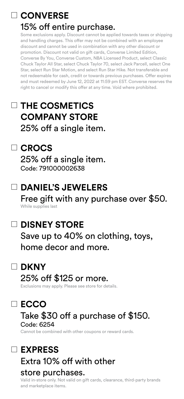# **CONVERSE**

### 15% off entire purchase.

Some exclusions apply. Discount cannot be applied towards taxes or shipping and handling charges. This offer may not be combined with an employee discount and cannot be used in combination with any other discount or promotion. Discount not valid on gift cards, Converse Limited Edition, Converse By You, Converse Custom, NBA Licensed Product, select Classic Chuck Taylor All Star, select Chuck Taylor 70, select Jack Parcell, select One Star, select Run Star Motion, and select Run Star Hike. Not transferable and not redeemable for cash, credit or towards previous purchases. Offer expires and must redeemed by June 12, 2022 at 11:59 pm EST. Converse reserves the right to cancel or modify this offer at any time. Void where prohibited.

# **THE COSMETICS COMPANY STORE** 25% off a single item.

# **CROCS**

25% off a single item. Code: 791000002638

# **DANIEL'S JEWELERS**

Free gift with any purchase over \$50. While supplies last

# **DISNEY STORE**

Save up to 40% on clothing, toys, home decor and more.

### **DKNY**

### 25% off \$125 or more.

Exclusions may apply. Please see store for details.

# **ECCO**

#### Take \$30 off a purchase of \$150. Code: 6254

Cannot be combined with other coupons or reward cards.

# **EXPRESS** Extra 10% off with other

#### store purchases.

Valid in-store only. Not valid on gift cards, clearance, third-party brands and marketplace items.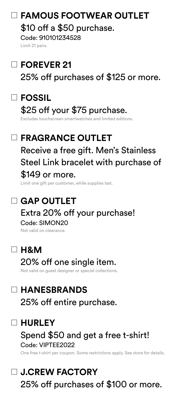# **FAMOUS FOOTWEAR OUTLET**

\$10 off a \$50 purchase.

Code: 910101234528 Limit 21 pairs.

# **FOREVER 21**

25% off purchases of \$125 or more.

# **FOSSIL**

# \$25 off your \$75 purchase.

Excludes touchscreen smartwatches and limited editions.

# **FRAGRANCE OUTLET**  Receive a free gift. Men's Stainless Steel Link bracelet with purchase of \$149 or more.

Limit one gift per customer, while supplies last.

# **GAP OUTLET**

### Extra 20% off your purchase! Code: SIMON20

Not valid on clearance.

### **H&M**

# 20% off one single item.

Not valid on guest designer or special collections.

# **HANESBRANDS**

25% off entire purchase.

# **HURLEY**

### Spend \$50 and get a free t-shirt! Code: VIPTEE2022

One free t-shirt per coupon. Some restrictions apply. See store for details.

# **J.CREW FACTORY**

25% off purchases of \$100 or more.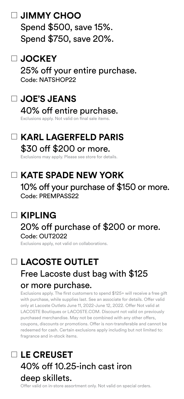### **JIMMY CHOO**

Spend \$500, save 15%. Spend \$750, save 20%.

### **JOCKEY**

25% off your entire purchase. Code: NATSHOP22

# **JOE'S JEANS**

### 40% off entire purchase.

Exclusions apply. Not valid on final sale items.

### **KARL LAGERFELD PARIS** \$30 off \$200 or more.

Exclusions may apply. Please see store for details.

# **KATE SPADE NEW YORK**

10% off your purchase of \$150 or more. Code: PREMPASS22

# **KIPLING**

#### 20% off purchase of \$200 or more. Code: OUT2022

Exclusions apply, not valid on collaborations.

# **LACOSTE OUTLET** Free Lacoste dust bag with \$125 or more purchase.

Exclusions apply. The first customers to spend \$125+ will receive a free gift with purchase, while supplies last. See an associate for details. Offer valid only at Lacoste Outlets June 11, 2022-June 12, 2022. Offer Not valid at LACOSTE Boutiques or LACOSTE.COM. Discount not valid on previously purchased merchandise. May not be combined with any other offers, coupons, discounts or promotions. Offer is non-transferable and cannot be redeemed for cash. Certain exclusions apply including but not limited to: fragrance and in-stock items.

# **LE CREUSET** 40% off 10.25-inch cast iron deep skillets.

Offer valid on in-store assortment only. Not valid on special orders.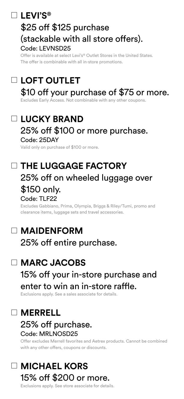# **LEVI'S®**

# \$25 off \$125 purchase (stackable with all store offers). Code: LEVNSD25

Offer is available at select Levi's® Outlet Stores in the United States. The offer is combinable with all in-store promotions.

# **LOFT OUTLET**

# \$10 off your purchase of \$75 or more.

Excludes Early Access. Not combinable with any other coupons.

# **LUCKY BRAND**

#### 25% off \$100 or more purchase. Code: 25DAY

Valid only on purchase of \$100 or more.

# **THE LUGGAGE FACTORY** 25% off on wheeled luggage over \$150 only.

#### Code: TLF22

Excludes Gabbiano, Prima, Olympia, Briggs & Riley/Tumi, promo and clearance items, luggage sets and travel accessories.

# **MAIDENFORM**

25% off entire purchase.

# **MARC JACOBS**

# 15% off your in-store purchase and enter to win an in-store raffle.

Exclusions apply. See a sales associate for details.

# **MERRELL**

#### 25% off purchase. Code: MRLNOSD25

Offer excludes Merrell favorites and Aetrex products. Cannot be combined with any other offers, coupons or discounts.

# **MICHAEL KORS** 15% off \$200 or more.

Exclusions apply. See store associate for details.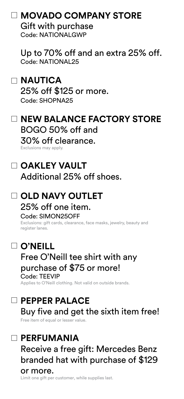# **MOVADO COMPANY STORE**

Gift with purchase Code: NATIONALGWP

Up to 70% off and an extra 25% off. Code: NATIONAL25

# **NAUTICA**

25% off \$125 or more. Code: SHOPNA25

### **NEW BALANCE FACTORY STORE** BOGO 50% off and

30% off clearance. Exclusions may apply.

# **OAKLEY VAULT**

Additional 25% off shoes.

#### **OLD NAVY OUTLET** 25% off one item. Code: SIMON25OFF

Exclusions: gift cards, clearance, face masks, jewelry, beauty and register lanes.

# **O'NEILL**

#### Free O'Neill tee shirt with any purchase of \$75 or more! Code: TEEVIP

Applies to O'Neill clothing. Not valid on outside brands.

# **PEPPER PALACE**

Buy five and get the sixth item free!

Free item of equal or lesser value.

# **PERFUMANIA**

Receive a free gift: Mercedes Benz branded hat with purchase of \$129 or more.

Limit one gift per customer, while supplies last.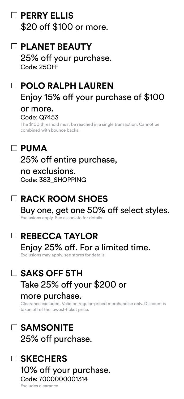### **PERRY ELLIS** \$20 off \$100 or more.

# **PLANET BEAUTY**

25% off your purchase. Code: 25OFF

# **POLO RALPH LAUREN**  Enjoy 15% off your purchase of \$100 or more.

#### Code: Q7453

The \$100 threshold must be reached in a single transaction. Cannot be combined with bounce backs.

# **PUMA**

25% off entire purchase,

no exclusions. Code: 383\_SHOPPING

# **RACK ROOM SHOES**

Buy one, get one 50% off select styles. Exclusions apply. See associate for details.

# **REBECCA TAYLOR** Enjoy 25% off. For a limited time.

Exclusions may apply, see stores for details.

# **SAKS OFF 5TH** Take 25% off your \$200 or

#### more purchase.

Clearance excluded. Valid on regular-priced merchandise only. Discount is taken off of the lowest-ticket price.

# **SAMSONITE** 25% off purchase.

# **SKECHERS**

10% off your purchase. Code: 7000000001314

Excludes clearance.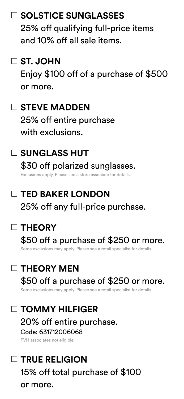### **SOLSTICE SUNGLASSES**

25% off qualifying full-price items and 10% off all sale items.

### **ST. JOHN**

Enjoy \$100 off of a purchase of \$500 or more.

### **STEVE MADDEN**

25% off entire purchase with exclusions.

### **SUNGLASS HUT**

\$30 off polarized sunglasses. Exclusions apply. Please see a store associate for details.

# **TED BAKER LONDON** 25% off any full-price purchase.

# **THEORY**

# \$50 off a purchase of \$250 or more.

Some exclusions may apply. Please see a retail specialist for details.

# **THEORY MEN**

# \$50 off a purchase of \$250 or more.

Some exclusions may apply. Please see a retail specialist for details.

# **TOMMY HILFIGER**

20% off entire purchase.

#### Code: 631712006068

PVH associates not eligible.

# **TRUE RELIGION** 15% off total purchase of \$100 or more.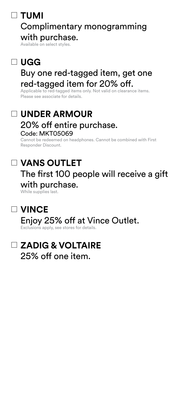# **TUMI**

#### Complimentary monogramming with purchase.

Available on select styles.

# **UGG**

### Buy one red-tagged item, get one red-tagged item for 20% off.

Applicable to red-tagged items only. Not valid on clearance items. Please see associate for details.

#### **UNDER ARMOUR** 20% off entire purchase. Code: MKT05069

Cannot be redeemed on headphones. Cannot be combined with First Responder Discount.

# **VANS OUTLET**

# The first 100 people will receive a gift with purchase.

While supplies last.

### **VINCE**

### Enjoy 25% off at Vince Outlet.

Exclusions apply, see stores for details.

### **ZADIG & VOLTAIRE** 25% off one item.